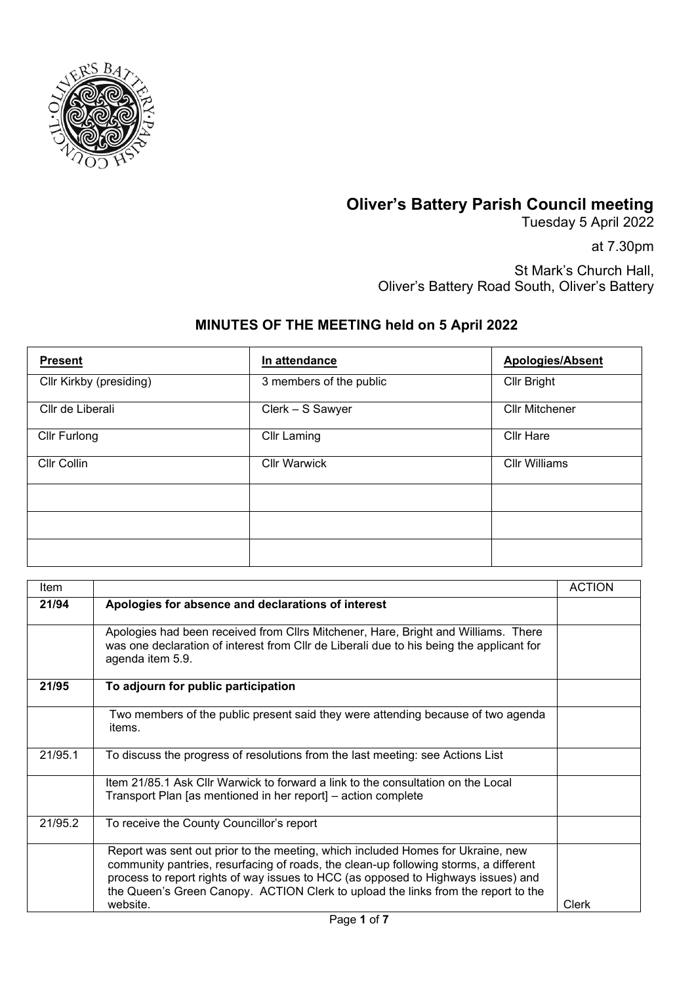

## **Oliver's Battery Parish Council meeting**

Tuesday 5 April 2022

at 7.30pm

St Mark's Church Hall, Oliver's Battery Road South, Oliver's Battery

## **MINUTES OF THE MEETING held on 5 April 2022**

| <b>Present</b>          | In attendance           | <b>Apologies/Absent</b> |
|-------------------------|-------------------------|-------------------------|
| Cllr Kirkby (presiding) | 3 members of the public | Cllr Bright             |
| Cllr de Liberali        | Clerk - S Sawyer        | <b>Cllr Mitchener</b>   |
| Cllr Furlong            | <b>Cllr Laming</b>      | <b>Cllr Hare</b>        |
| Cllr Collin             | <b>Cllr Warwick</b>     | <b>Cllr Williams</b>    |
|                         |                         |                         |
|                         |                         |                         |
|                         |                         |                         |

| Item    |                                                                                                                                                                                                                                                                                                                                                               | <b>ACTION</b> |
|---------|---------------------------------------------------------------------------------------------------------------------------------------------------------------------------------------------------------------------------------------------------------------------------------------------------------------------------------------------------------------|---------------|
| 21/94   | Apologies for absence and declarations of interest                                                                                                                                                                                                                                                                                                            |               |
|         | Apologies had been received from Cllrs Mitchener, Hare, Bright and Williams. There<br>was one declaration of interest from CIIr de Liberali due to his being the applicant for<br>agenda item 5.9.                                                                                                                                                            |               |
| 21/95   | To adjourn for public participation                                                                                                                                                                                                                                                                                                                           |               |
|         | Two members of the public present said they were attending because of two agenda<br>items.                                                                                                                                                                                                                                                                    |               |
| 21/95.1 | To discuss the progress of resolutions from the last meeting: see Actions List                                                                                                                                                                                                                                                                                |               |
|         | Item 21/85.1 Ask Cllr Warwick to forward a link to the consultation on the Local<br>Transport Plan [as mentioned in her report] – action complete                                                                                                                                                                                                             |               |
| 21/95.2 | To receive the County Councillor's report                                                                                                                                                                                                                                                                                                                     |               |
|         | Report was sent out prior to the meeting, which included Homes for Ukraine, new<br>community pantries, resurfacing of roads, the clean-up following storms, a different<br>process to report rights of way issues to HCC (as opposed to Highways issues) and<br>the Queen's Green Canopy. ACTION Clerk to upload the links from the report to the<br>website. | Clerk         |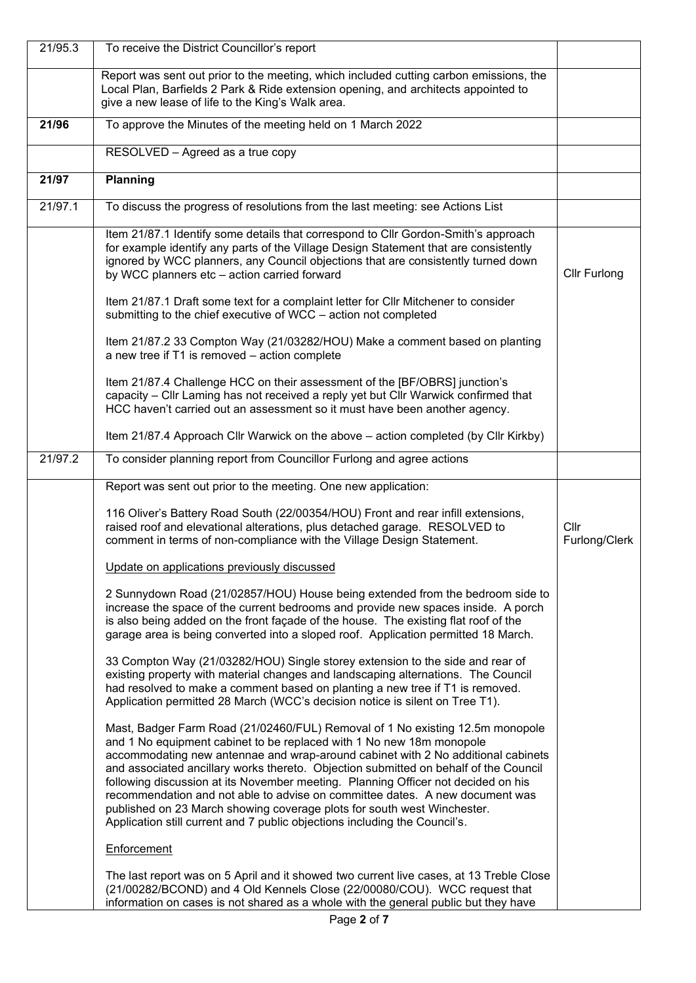| 21/95.3 | To receive the District Councillor's report                                                                                                                                                                                                                                                                                                                                                                                                                                                                                                                                                                                                                     |                       |
|---------|-----------------------------------------------------------------------------------------------------------------------------------------------------------------------------------------------------------------------------------------------------------------------------------------------------------------------------------------------------------------------------------------------------------------------------------------------------------------------------------------------------------------------------------------------------------------------------------------------------------------------------------------------------------------|-----------------------|
|         | Report was sent out prior to the meeting, which included cutting carbon emissions, the<br>Local Plan, Barfields 2 Park & Ride extension opening, and architects appointed to<br>give a new lease of life to the King's Walk area.                                                                                                                                                                                                                                                                                                                                                                                                                               |                       |
| 21/96   | To approve the Minutes of the meeting held on 1 March 2022                                                                                                                                                                                                                                                                                                                                                                                                                                                                                                                                                                                                      |                       |
|         | RESOLVED - Agreed as a true copy                                                                                                                                                                                                                                                                                                                                                                                                                                                                                                                                                                                                                                |                       |
| 21/97   | Planning                                                                                                                                                                                                                                                                                                                                                                                                                                                                                                                                                                                                                                                        |                       |
| 21/97.1 | To discuss the progress of resolutions from the last meeting: see Actions List                                                                                                                                                                                                                                                                                                                                                                                                                                                                                                                                                                                  |                       |
|         | Item 21/87.1 Identify some details that correspond to Cllr Gordon-Smith's approach<br>for example identify any parts of the Village Design Statement that are consistently<br>ignored by WCC planners, any Council objections that are consistently turned down<br>by WCC planners etc - action carried forward                                                                                                                                                                                                                                                                                                                                                 | <b>Cllr Furlong</b>   |
|         | Item 21/87.1 Draft some text for a complaint letter for Cllr Mitchener to consider<br>submitting to the chief executive of WCC - action not completed                                                                                                                                                                                                                                                                                                                                                                                                                                                                                                           |                       |
|         | Item 21/87.2 33 Compton Way (21/03282/HOU) Make a comment based on planting<br>a new tree if T1 is removed - action complete                                                                                                                                                                                                                                                                                                                                                                                                                                                                                                                                    |                       |
|         | Item 21/87.4 Challenge HCC on their assessment of the [BF/OBRS] junction's<br>capacity - Cllr Laming has not received a reply yet but Cllr Warwick confirmed that<br>HCC haven't carried out an assessment so it must have been another agency.                                                                                                                                                                                                                                                                                                                                                                                                                 |                       |
|         | Item 21/87.4 Approach Cllr Warwick on the above – action completed (by Cllr Kirkby)                                                                                                                                                                                                                                                                                                                                                                                                                                                                                                                                                                             |                       |
| 21/97.2 | To consider planning report from Councillor Furlong and agree actions                                                                                                                                                                                                                                                                                                                                                                                                                                                                                                                                                                                           |                       |
|         | Report was sent out prior to the meeting. One new application:                                                                                                                                                                                                                                                                                                                                                                                                                                                                                                                                                                                                  |                       |
|         | 116 Oliver's Battery Road South (22/00354/HOU) Front and rear infill extensions,<br>raised roof and elevational alterations, plus detached garage. RESOLVED to<br>comment in terms of non-compliance with the Village Design Statement.                                                                                                                                                                                                                                                                                                                                                                                                                         | Cllr<br>Furlong/Clerk |
|         | Update on applications previously discussed                                                                                                                                                                                                                                                                                                                                                                                                                                                                                                                                                                                                                     |                       |
|         | 2 Sunnydown Road (21/02857/HOU) House being extended from the bedroom side to<br>increase the space of the current bedrooms and provide new spaces inside. A porch<br>is also being added on the front façade of the house. The existing flat roof of the<br>garage area is being converted into a sloped roof. Application permitted 18 March.                                                                                                                                                                                                                                                                                                                 |                       |
|         | 33 Compton Way (21/03282/HOU) Single storey extension to the side and rear of<br>existing property with material changes and landscaping alternations. The Council<br>had resolved to make a comment based on planting a new tree if T1 is removed.<br>Application permitted 28 March (WCC's decision notice is silent on Tree T1).                                                                                                                                                                                                                                                                                                                             |                       |
|         | Mast, Badger Farm Road (21/02460/FUL) Removal of 1 No existing 12.5m monopole<br>and 1 No equipment cabinet to be replaced with 1 No new 18m monopole<br>accommodating new antennae and wrap-around cabinet with 2 No additional cabinets<br>and associated ancillary works thereto. Objection submitted on behalf of the Council<br>following discussion at its November meeting. Planning Officer not decided on his<br>recommendation and not able to advise on committee dates. A new document was<br>published on 23 March showing coverage plots for south west Winchester.<br>Application still current and 7 public objections including the Council's. |                       |
|         | Enforcement                                                                                                                                                                                                                                                                                                                                                                                                                                                                                                                                                                                                                                                     |                       |
|         | The last report was on 5 April and it showed two current live cases, at 13 Treble Close<br>(21/00282/BCOND) and 4 Old Kennels Close (22/00080/COU). WCC request that<br>information on cases is not shared as a whole with the general public but they have                                                                                                                                                                                                                                                                                                                                                                                                     |                       |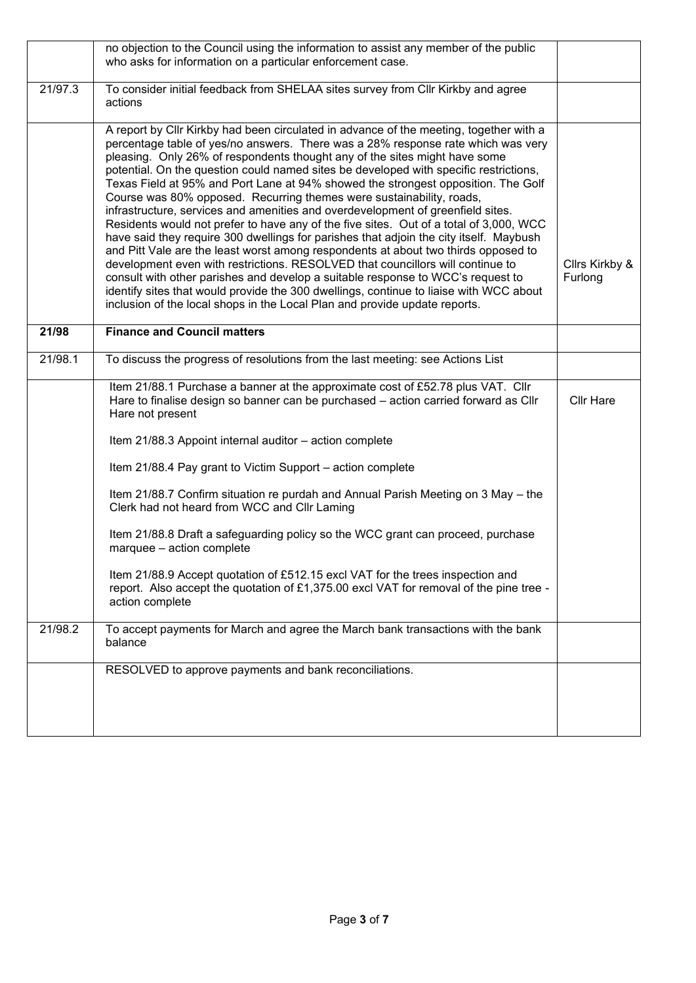|         | no objection to the Council using the information to assist any member of the public<br>who asks for information on a particular enforcement case.                                                                                                                                                                                                                                                                                                                                                                                                                                                                                                                                                                                                                                                                                                                                                                                                                                                                                                                                                                                                                                                                       |                           |
|---------|--------------------------------------------------------------------------------------------------------------------------------------------------------------------------------------------------------------------------------------------------------------------------------------------------------------------------------------------------------------------------------------------------------------------------------------------------------------------------------------------------------------------------------------------------------------------------------------------------------------------------------------------------------------------------------------------------------------------------------------------------------------------------------------------------------------------------------------------------------------------------------------------------------------------------------------------------------------------------------------------------------------------------------------------------------------------------------------------------------------------------------------------------------------------------------------------------------------------------|---------------------------|
| 21/97.3 | To consider initial feedback from SHELAA sites survey from Cllr Kirkby and agree<br>actions                                                                                                                                                                                                                                                                                                                                                                                                                                                                                                                                                                                                                                                                                                                                                                                                                                                                                                                                                                                                                                                                                                                              |                           |
|         | A report by Cllr Kirkby had been circulated in advance of the meeting, together with a<br>percentage table of yes/no answers. There was a 28% response rate which was very<br>pleasing. Only 26% of respondents thought any of the sites might have some<br>potential. On the question could named sites be developed with specific restrictions,<br>Texas Field at 95% and Port Lane at 94% showed the strongest opposition. The Golf<br>Course was 80% opposed. Recurring themes were sustainability, roads,<br>infrastructure, services and amenities and overdevelopment of greenfield sites.<br>Residents would not prefer to have any of the five sites. Out of a total of 3,000, WCC<br>have said they require 300 dwellings for parishes that adjoin the city itself. Maybush<br>and Pitt Vale are the least worst among respondents at about two thirds opposed to<br>development even with restrictions. RESOLVED that councillors will continue to<br>consult with other parishes and develop a suitable response to WCC's request to<br>identify sites that would provide the 300 dwellings, continue to liaise with WCC about<br>inclusion of the local shops in the Local Plan and provide update reports. | Cllrs Kirkby &<br>Furlong |
| 21/98   | <b>Finance and Council matters</b>                                                                                                                                                                                                                                                                                                                                                                                                                                                                                                                                                                                                                                                                                                                                                                                                                                                                                                                                                                                                                                                                                                                                                                                       |                           |
| 21/98.1 | To discuss the progress of resolutions from the last meeting: see Actions List                                                                                                                                                                                                                                                                                                                                                                                                                                                                                                                                                                                                                                                                                                                                                                                                                                                                                                                                                                                                                                                                                                                                           |                           |
|         | Item 21/88.1 Purchase a banner at the approximate cost of £52.78 plus VAT. Cllr<br>Hare to finalise design so banner can be purchased - action carried forward as Cllr<br>Hare not present                                                                                                                                                                                                                                                                                                                                                                                                                                                                                                                                                                                                                                                                                                                                                                                                                                                                                                                                                                                                                               | <b>Cllr Hare</b>          |
|         | Item 21/88.3 Appoint internal auditor - action complete                                                                                                                                                                                                                                                                                                                                                                                                                                                                                                                                                                                                                                                                                                                                                                                                                                                                                                                                                                                                                                                                                                                                                                  |                           |
|         | Item 21/88.4 Pay grant to Victim Support - action complete                                                                                                                                                                                                                                                                                                                                                                                                                                                                                                                                                                                                                                                                                                                                                                                                                                                                                                                                                                                                                                                                                                                                                               |                           |
|         | Item 21/88.7 Confirm situation re purdah and Annual Parish Meeting on 3 May - the<br>Clerk had not heard from WCC and Cllr Laming                                                                                                                                                                                                                                                                                                                                                                                                                                                                                                                                                                                                                                                                                                                                                                                                                                                                                                                                                                                                                                                                                        |                           |
|         | Item 21/88.8 Draft a safeguarding policy so the WCC grant can proceed, purchase<br>marquee - action complete                                                                                                                                                                                                                                                                                                                                                                                                                                                                                                                                                                                                                                                                                                                                                                                                                                                                                                                                                                                                                                                                                                             |                           |
|         | Item 21/88.9 Accept quotation of £512.15 excl VAT for the trees inspection and<br>report. Also accept the quotation of £1,375.00 excl VAT for removal of the pine tree -<br>action complete                                                                                                                                                                                                                                                                                                                                                                                                                                                                                                                                                                                                                                                                                                                                                                                                                                                                                                                                                                                                                              |                           |
| 21/98.2 | To accept payments for March and agree the March bank transactions with the bank<br>balance                                                                                                                                                                                                                                                                                                                                                                                                                                                                                                                                                                                                                                                                                                                                                                                                                                                                                                                                                                                                                                                                                                                              |                           |
|         | RESOLVED to approve payments and bank reconciliations.                                                                                                                                                                                                                                                                                                                                                                                                                                                                                                                                                                                                                                                                                                                                                                                                                                                                                                                                                                                                                                                                                                                                                                   |                           |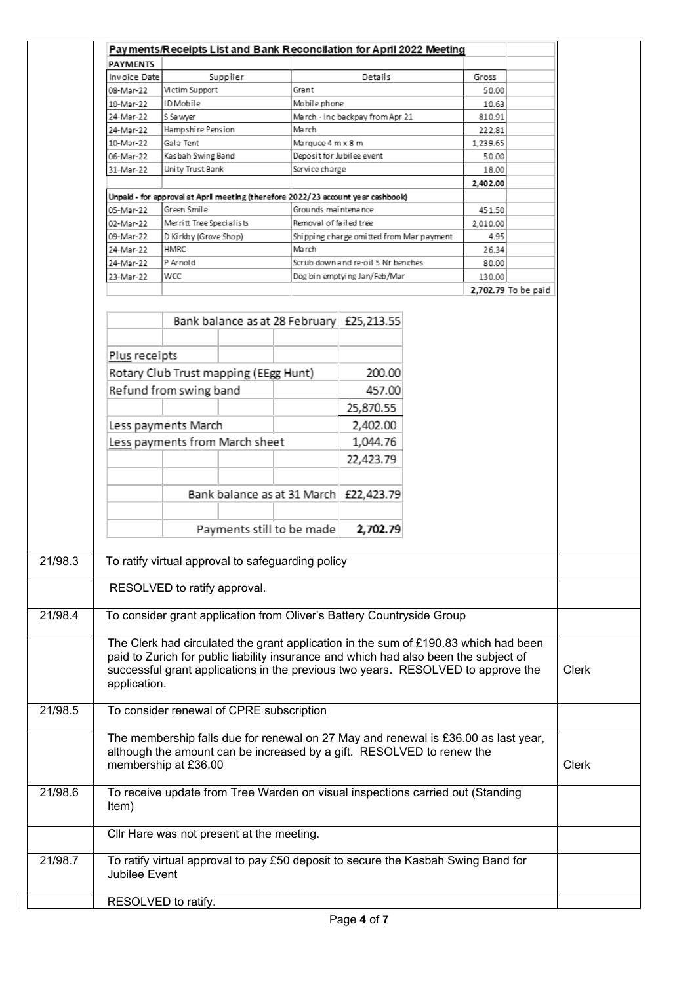|                 | Payments/Receipts List and Bank Reconcilation for April 2022 Meeting                 |                                           |                                          |          |                     |       |
|-----------------|--------------------------------------------------------------------------------------|-------------------------------------------|------------------------------------------|----------|---------------------|-------|
| <b>PAYMENTS</b> |                                                                                      |                                           |                                          |          |                     |       |
| Invoice Date    | Supplier                                                                             |                                           | Details                                  | Gross    |                     |       |
| 08-Mar-22       | Victim Support                                                                       | Grant                                     |                                          | 50.00    |                     |       |
| 10-Mar-22       | ID Mobile                                                                            | Mobile phone                              |                                          | 10.63    |                     |       |
| 24-Mar-22       | S Sa wyer                                                                            |                                           | March - inc backpay from Apr 21          | 810.91   |                     |       |
| 24-Mar-22       | Hampshire Pension                                                                    | March                                     |                                          | 222.81   |                     |       |
| 10-Mar-22       | Gala Tent                                                                            | Marquee 4 m x 8 m                         |                                          | 1,239.65 |                     |       |
| 06-Mar-22       | Kasbah Swing Band                                                                    |                                           | Deposit for Jubilee event                | 50.00    |                     |       |
| 31-Mar-22       | Unity Trust Bank                                                                     | Service charge                            |                                          | 18.00    |                     |       |
|                 |                                                                                      |                                           |                                          | 2,402.00 |                     |       |
|                 | Unpaid - for approval at April meeting (therefore 2022/23 account year cashbook)     |                                           |                                          |          |                     |       |
| 05-Mar-22       | Green Smile                                                                          | Grounds maintenance                       |                                          | 451.50   |                     |       |
| 02-Mar-22       | Merritt Tree Specialists                                                             | Removal of failed tree                    |                                          | 2,010.00 |                     |       |
| 09-Mar-22       | D Kirkby (Grove Shop)                                                                |                                           | Shipping charge omitted from Mar payment | 4.95     |                     |       |
| 24-Mar-22       | HMRC                                                                                 | March                                     |                                          | 26.34    |                     |       |
| 24-Mar-22       | P Arnold                                                                             |                                           | Scrub down and re-oil 5 Nr benches       | 80.00    |                     |       |
| 23-Mar-22       | WCC                                                                                  |                                           | Dog bin emptying Jan/Feb/Mar             | 130.00   |                     |       |
|                 |                                                                                      |                                           |                                          |          |                     |       |
|                 |                                                                                      |                                           |                                          |          | 2,702.79 To be paid |       |
|                 |                                                                                      | Bank balance as at 28 February £25,213.55 |                                          |          |                     |       |
| Plus receipts   |                                                                                      |                                           |                                          |          |                     |       |
|                 | Rotary Club Trust mapping (EEgg Hunt)                                                |                                           | 200.00                                   |          |                     |       |
|                 | Refund from swing band                                                               |                                           | 457.00                                   |          |                     |       |
|                 |                                                                                      |                                           |                                          |          |                     |       |
|                 |                                                                                      |                                           | 25,870.55                                |          |                     |       |
|                 | Less payments March                                                                  |                                           | 2,402.00                                 |          |                     |       |
|                 | Less payments from March sheet                                                       |                                           | 1,044.76                                 |          |                     |       |
|                 |                                                                                      |                                           |                                          |          |                     |       |
|                 |                                                                                      |                                           | 22,423.79                                |          |                     |       |
|                 |                                                                                      |                                           |                                          |          |                     |       |
|                 |                                                                                      |                                           |                                          |          |                     |       |
|                 |                                                                                      | Bank balance as at 31 March £22,423.79    |                                          |          |                     |       |
|                 |                                                                                      |                                           |                                          |          |                     |       |
|                 |                                                                                      | Payments still to be made                 | 2,702.79                                 |          |                     |       |
|                 |                                                                                      |                                           |                                          |          |                     |       |
|                 |                                                                                      |                                           |                                          |          |                     |       |
|                 | To ratify virtual approval to safeguarding policy                                    |                                           |                                          |          |                     |       |
|                 |                                                                                      |                                           |                                          |          |                     |       |
|                 | RESOLVED to ratify approval.                                                         |                                           |                                          |          |                     |       |
|                 |                                                                                      |                                           |                                          |          |                     |       |
|                 | To consider grant application from Oliver's Battery Countryside Group                |                                           |                                          |          |                     |       |
|                 |                                                                                      |                                           |                                          |          |                     |       |
|                 | The Clerk had circulated the grant application in the sum of £190.83 which had been  |                                           |                                          |          |                     |       |
|                 | paid to Zurich for public liability insurance and which had also been the subject of |                                           |                                          |          |                     |       |
|                 | successful grant applications in the previous two years. RESOLVED to approve the     |                                           |                                          |          |                     | Clerk |
| application.    |                                                                                      |                                           |                                          |          |                     |       |
|                 |                                                                                      |                                           |                                          |          |                     |       |
|                 | To consider renewal of CPRE subscription                                             |                                           |                                          |          |                     |       |
|                 |                                                                                      |                                           |                                          |          |                     |       |
|                 | The membership falls due for renewal on 27 May and renewal is £36.00 as last year,   |                                           |                                          |          |                     |       |
|                 |                                                                                      |                                           |                                          |          |                     |       |
|                 | although the amount can be increased by a gift. RESOLVED to renew the                |                                           |                                          |          |                     |       |
|                 | membership at £36.00                                                                 |                                           |                                          |          |                     | Clerk |
|                 |                                                                                      |                                           |                                          |          |                     |       |
|                 | To receive update from Tree Warden on visual inspections carried out (Standing       |                                           |                                          |          |                     |       |
| Item)           |                                                                                      |                                           |                                          |          |                     |       |
|                 |                                                                                      |                                           |                                          |          |                     |       |
|                 | Cllr Hare was not present at the meeting.                                            |                                           |                                          |          |                     |       |
|                 |                                                                                      |                                           |                                          |          |                     |       |
|                 | To ratify virtual approval to pay £50 deposit to secure the Kasbah Swing Band for    |                                           |                                          |          |                     |       |
| Jubilee Event   |                                                                                      |                                           |                                          |          |                     |       |
|                 |                                                                                      |                                           |                                          |          |                     |       |
|                 | RESOLVED to ratify.                                                                  |                                           |                                          |          |                     |       |

 $\begin{array}{c} \hline \end{array}$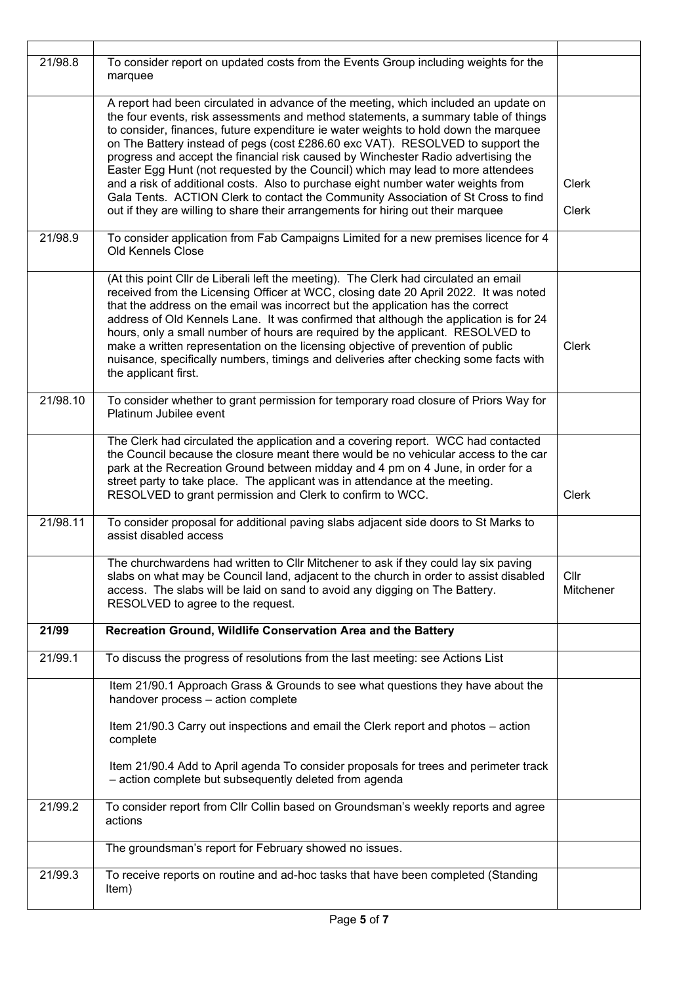| 21/98.8  | To consider report on updated costs from the Events Group including weights for the<br>marquee                                                                                                                                                                                                                                                                                                                                                                                                                                                                                                                                                  |                   |
|----------|-------------------------------------------------------------------------------------------------------------------------------------------------------------------------------------------------------------------------------------------------------------------------------------------------------------------------------------------------------------------------------------------------------------------------------------------------------------------------------------------------------------------------------------------------------------------------------------------------------------------------------------------------|-------------------|
|          | A report had been circulated in advance of the meeting, which included an update on<br>the four events, risk assessments and method statements, a summary table of things<br>to consider, finances, future expenditure ie water weights to hold down the marquee<br>on The Battery instead of pegs (cost £286.60 exc VAT). RESOLVED to support the<br>progress and accept the financial risk caused by Winchester Radio advertising the<br>Easter Egg Hunt (not requested by the Council) which may lead to more attendees                                                                                                                      |                   |
|          | and a risk of additional costs. Also to purchase eight number water weights from                                                                                                                                                                                                                                                                                                                                                                                                                                                                                                                                                                | <b>Clerk</b>      |
|          | Gala Tents. ACTION Clerk to contact the Community Association of St Cross to find<br>out if they are willing to share their arrangements for hiring out their marquee                                                                                                                                                                                                                                                                                                                                                                                                                                                                           | Clerk             |
| 21/98.9  | To consider application from Fab Campaigns Limited for a new premises licence for 4<br><b>Old Kennels Close</b>                                                                                                                                                                                                                                                                                                                                                                                                                                                                                                                                 |                   |
|          | (At this point Cllr de Liberali left the meeting). The Clerk had circulated an email<br>received from the Licensing Officer at WCC, closing date 20 April 2022. It was noted<br>that the address on the email was incorrect but the application has the correct<br>address of Old Kennels Lane. It was confirmed that although the application is for 24<br>hours, only a small number of hours are required by the applicant. RESOLVED to<br>make a written representation on the licensing objective of prevention of public<br>nuisance, specifically numbers, timings and deliveries after checking some facts with<br>the applicant first. | <b>Clerk</b>      |
| 21/98.10 | To consider whether to grant permission for temporary road closure of Priors Way for<br>Platinum Jubilee event                                                                                                                                                                                                                                                                                                                                                                                                                                                                                                                                  |                   |
|          | The Clerk had circulated the application and a covering report. WCC had contacted<br>the Council because the closure meant there would be no vehicular access to the car<br>park at the Recreation Ground between midday and 4 pm on 4 June, in order for a<br>street party to take place. The applicant was in attendance at the meeting.<br>RESOLVED to grant permission and Clerk to confirm to WCC.                                                                                                                                                                                                                                         | <b>Clerk</b>      |
| 21/98.11 | To consider proposal for additional paving slabs adjacent side doors to St Marks to<br>assist disabled access                                                                                                                                                                                                                                                                                                                                                                                                                                                                                                                                   |                   |
|          | The churchwardens had written to CIIr Mitchener to ask if they could lay six paving<br>slabs on what may be Council land, adjacent to the church in order to assist disabled<br>access. The slabs will be laid on sand to avoid any digging on The Battery.<br>RESOLVED to agree to the request.                                                                                                                                                                                                                                                                                                                                                | Cllr<br>Mitchener |
| 21/99    | Recreation Ground, Wildlife Conservation Area and the Battery                                                                                                                                                                                                                                                                                                                                                                                                                                                                                                                                                                                   |                   |
| 21/99.1  | To discuss the progress of resolutions from the last meeting: see Actions List                                                                                                                                                                                                                                                                                                                                                                                                                                                                                                                                                                  |                   |
|          | Item 21/90.1 Approach Grass & Grounds to see what questions they have about the<br>handover process - action complete                                                                                                                                                                                                                                                                                                                                                                                                                                                                                                                           |                   |
|          | Item 21/90.3 Carry out inspections and email the Clerk report and photos - action<br>complete                                                                                                                                                                                                                                                                                                                                                                                                                                                                                                                                                   |                   |
|          | Item 21/90.4 Add to April agenda To consider proposals for trees and perimeter track<br>- action complete but subsequently deleted from agenda                                                                                                                                                                                                                                                                                                                                                                                                                                                                                                  |                   |
| 21/99.2  | To consider report from Cllr Collin based on Groundsman's weekly reports and agree<br>actions                                                                                                                                                                                                                                                                                                                                                                                                                                                                                                                                                   |                   |
|          | The groundsman's report for February showed no issues.                                                                                                                                                                                                                                                                                                                                                                                                                                                                                                                                                                                          |                   |
| 21/99.3  | To receive reports on routine and ad-hoc tasks that have been completed (Standing<br>Item)                                                                                                                                                                                                                                                                                                                                                                                                                                                                                                                                                      |                   |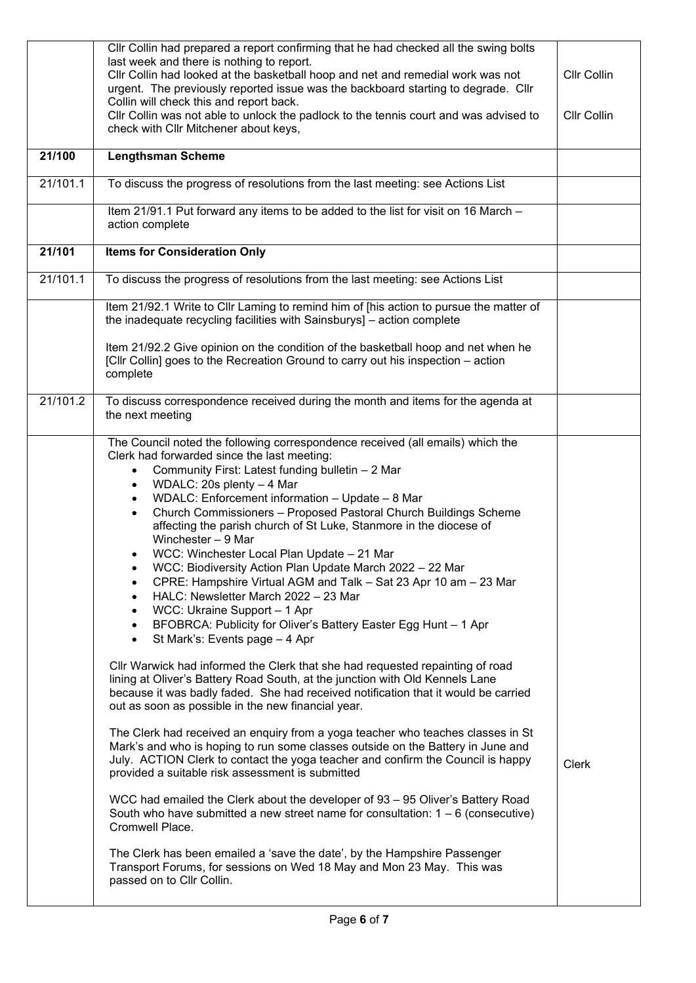|          | CIIr Collin had prepared a report confirming that he had checked all the swing bolts<br>last week and there is nothing to report.<br>Cllr Collin had looked at the basketball hoop and net and remedial work was not<br>urgent. The previously reported issue was the backboard starting to degrade. Cllr<br>Collin will check this and report back.<br>Cllr Collin was not able to unlock the padlock to the tennis court and was advised to<br>check with Cllr Mitchener about keys,                                                                                                                                                                                                                                                                                                                                                                                                                                                                                                                                                                                                                                                                                                                                                                                                                                                                                                                                                                                                                                                                                                                                                                                                                                                                                                                                                                                    | Cllr Collin<br><b>CIIr Collin</b> |
|----------|---------------------------------------------------------------------------------------------------------------------------------------------------------------------------------------------------------------------------------------------------------------------------------------------------------------------------------------------------------------------------------------------------------------------------------------------------------------------------------------------------------------------------------------------------------------------------------------------------------------------------------------------------------------------------------------------------------------------------------------------------------------------------------------------------------------------------------------------------------------------------------------------------------------------------------------------------------------------------------------------------------------------------------------------------------------------------------------------------------------------------------------------------------------------------------------------------------------------------------------------------------------------------------------------------------------------------------------------------------------------------------------------------------------------------------------------------------------------------------------------------------------------------------------------------------------------------------------------------------------------------------------------------------------------------------------------------------------------------------------------------------------------------------------------------------------------------------------------------------------------------|-----------------------------------|
| 21/100   | <b>Lengthsman Scheme</b>                                                                                                                                                                                                                                                                                                                                                                                                                                                                                                                                                                                                                                                                                                                                                                                                                                                                                                                                                                                                                                                                                                                                                                                                                                                                                                                                                                                                                                                                                                                                                                                                                                                                                                                                                                                                                                                  |                                   |
| 21/101.1 | To discuss the progress of resolutions from the last meeting: see Actions List                                                                                                                                                                                                                                                                                                                                                                                                                                                                                                                                                                                                                                                                                                                                                                                                                                                                                                                                                                                                                                                                                                                                                                                                                                                                                                                                                                                                                                                                                                                                                                                                                                                                                                                                                                                            |                                   |
|          | Item 21/91.1 Put forward any items to be added to the list for visit on 16 March -<br>action complete                                                                                                                                                                                                                                                                                                                                                                                                                                                                                                                                                                                                                                                                                                                                                                                                                                                                                                                                                                                                                                                                                                                                                                                                                                                                                                                                                                                                                                                                                                                                                                                                                                                                                                                                                                     |                                   |
| 21/101   | <b>Items for Consideration Only</b>                                                                                                                                                                                                                                                                                                                                                                                                                                                                                                                                                                                                                                                                                                                                                                                                                                                                                                                                                                                                                                                                                                                                                                                                                                                                                                                                                                                                                                                                                                                                                                                                                                                                                                                                                                                                                                       |                                   |
| 21/101.1 | To discuss the progress of resolutions from the last meeting: see Actions List                                                                                                                                                                                                                                                                                                                                                                                                                                                                                                                                                                                                                                                                                                                                                                                                                                                                                                                                                                                                                                                                                                                                                                                                                                                                                                                                                                                                                                                                                                                                                                                                                                                                                                                                                                                            |                                   |
|          | Item 21/92.1 Write to Cllr Laming to remind him of [his action to pursue the matter of<br>the inadequate recycling facilities with Sainsburys] - action complete                                                                                                                                                                                                                                                                                                                                                                                                                                                                                                                                                                                                                                                                                                                                                                                                                                                                                                                                                                                                                                                                                                                                                                                                                                                                                                                                                                                                                                                                                                                                                                                                                                                                                                          |                                   |
|          | Item 21/92.2 Give opinion on the condition of the basketball hoop and net when he<br>[Cllr Collin] goes to the Recreation Ground to carry out his inspection - action<br>complete                                                                                                                                                                                                                                                                                                                                                                                                                                                                                                                                                                                                                                                                                                                                                                                                                                                                                                                                                                                                                                                                                                                                                                                                                                                                                                                                                                                                                                                                                                                                                                                                                                                                                         |                                   |
| 21/101.2 | To discuss correspondence received during the month and items for the agenda at<br>the next meeting                                                                                                                                                                                                                                                                                                                                                                                                                                                                                                                                                                                                                                                                                                                                                                                                                                                                                                                                                                                                                                                                                                                                                                                                                                                                                                                                                                                                                                                                                                                                                                                                                                                                                                                                                                       |                                   |
|          | The Council noted the following correspondence received (all emails) which the<br>Clerk had forwarded since the last meeting:<br>Community First: Latest funding bulletin - 2 Mar<br>WDALC: 20s plenty - 4 Mar<br>$\bullet$<br>WDALC: Enforcement information - Update - 8 Mar<br>$\bullet$<br>Church Commissioners - Proposed Pastoral Church Buildings Scheme<br>affecting the parish church of St Luke, Stanmore in the diocese of<br>Winchester - 9 Mar<br>WCC: Winchester Local Plan Update - 21 Mar<br>WCC: Biodiversity Action Plan Update March 2022 - 22 Mar<br>CPRE: Hampshire Virtual AGM and Talk - Sat 23 Apr 10 am - 23 Mar<br>٠<br>HALC: Newsletter March 2022 - 23 Mar<br>WCC: Ukraine Support - 1 Apr<br>$\bullet$<br>BFOBRCA: Publicity for Oliver's Battery Easter Egg Hunt - 1 Apr<br>$\bullet$<br>St Mark's: Events page - 4 Apr<br>$\bullet$<br>Cllr Warwick had informed the Clerk that she had requested repainting of road<br>lining at Oliver's Battery Road South, at the junction with Old Kennels Lane<br>because it was badly faded. She had received notification that it would be carried<br>out as soon as possible in the new financial year.<br>The Clerk had received an enquiry from a yoga teacher who teaches classes in St<br>Mark's and who is hoping to run some classes outside on the Battery in June and<br>July. ACTION Clerk to contact the yoga teacher and confirm the Council is happy<br>provided a suitable risk assessment is submitted<br>WCC had emailed the Clerk about the developer of 93 - 95 Oliver's Battery Road<br>South who have submitted a new street name for consultation: $1 - 6$ (consecutive)<br>Cromwell Place.<br>The Clerk has been emailed a 'save the date', by the Hampshire Passenger<br>Transport Forums, for sessions on Wed 18 May and Mon 23 May. This was<br>passed on to Cllr Collin. | Clerk                             |